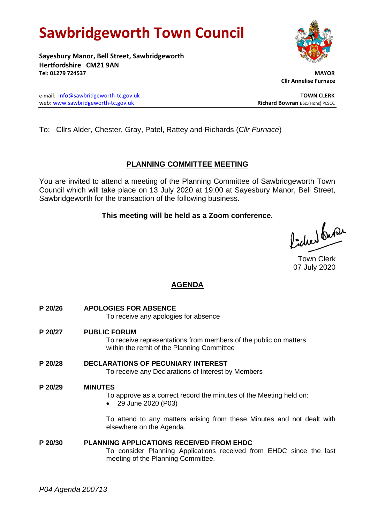# **Sawbridgeworth Town Council**

**Sayesbury Manor, Bell Street, Sawbridgeworth Hertfordshire CM21 9AN Tel: 01279 724537 MAYOR**

e-mail: [info@sawbridgeworth-tc.gov.uk](mailto:info@sawbridgeworth-tc.gov.uk) **TOWN CLERK** web: www.sawbridgeworth-tc.gov.uk<br> **Richard Bowran** BSc.(Hons) PLSCC

To: Cllrs Alder, Chester, Gray, Patel, Rattey and Richards (*Cllr Furnace*)

# **PLANNING COMMITTEE MEETING**

You are invited to attend a meeting of the Planning Committee of Sawbridgeworth Town Council which will take place on 13 July 2020 at 19:00 at Sayesbury Manor, Bell Street, Sawbridgeworth for the transaction of the following business.

## **This meeting will be held as a Zoom conference.**

Picked fuse

Town Clerk 07 July 2020

# **AGENDA**

**P 20/26 APOLOGIES FOR ABSENCE** To receive any apologies for absence **P 20/27 PUBLIC FORUM** To receive representations from members of the public on matters within the remit of the Planning Committee **P 20/28 DECLARATIONS OF PECUNIARY INTEREST** To receive any Declarations of Interest by Members **P 20/29 MINUTES** To approve as a correct record the minutes of the Meeting held on: • 29 June 2020 (P03) To attend to any matters arising from these Minutes and not dealt with elsewhere on the Agenda. **P 20/30 PLANNING APPLICATIONS RECEIVED FROM EHDC** To consider Planning Applications received from EHDC since the last meeting of the Planning Committee.



 **Cllr Annelise Furnace**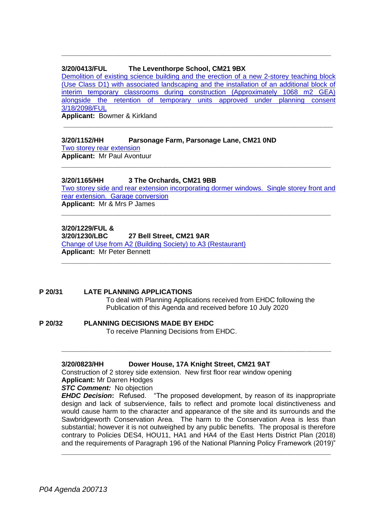#### **3/20/0413/FUL The Leventhorpe School, CM21 9BX**

[Demolition of existing science building and the erection of a new 2-storey teaching block](https://publicaccess.eastherts.gov.uk/online-applications/applicationDetails.do?activeTab=documents&keyVal=Q6BGLTGLFP600)  [\(Use Class D1\) with associated landscaping and the installation of an additional block of](https://publicaccess.eastherts.gov.uk/online-applications/applicationDetails.do?activeTab=documents&keyVal=Q6BGLTGLFP600)  [interim temporary classrooms during construction \(Approximately 1068 m2 GEA\)](https://publicaccess.eastherts.gov.uk/online-applications/applicationDetails.do?activeTab=documents&keyVal=Q6BGLTGLFP600)  [alongside the retention of temporary units approved under planning consent](https://publicaccess.eastherts.gov.uk/online-applications/applicationDetails.do?activeTab=documents&keyVal=Q6BGLTGLFP600)  [3/18/2098/FUL](https://publicaccess.eastherts.gov.uk/online-applications/applicationDetails.do?activeTab=documents&keyVal=Q6BGLTGLFP600)

**\_\_\_\_\_\_\_\_\_\_\_\_\_\_\_\_\_\_\_\_\_\_\_\_\_\_\_\_\_\_\_\_\_\_\_\_\_\_\_\_\_\_\_\_\_\_\_\_\_\_\_\_\_\_\_\_\_\_\_\_\_\_\_\_\_**

**\_\_\_\_\_\_\_\_\_\_\_\_\_\_\_\_\_\_\_\_\_\_\_\_\_\_\_\_\_\_\_\_\_\_\_\_\_\_\_\_\_\_\_\_\_\_\_\_\_\_\_\_\_\_\_\_\_\_\_\_\_\_\_\_\_**

**Applicant:** Bowmer & Kirkland

#### **3/20/1152/HH Parsonage Farm, Parsonage Lane, CM21 0ND**

[Two storey rear extension](https://publicaccess.eastherts.gov.uk/online-applications/applicationDetails.do?activeTab=documents&keyVal=QCDLAGGLHA600) **Applicant:** Mr Paul Avontuur

#### **3/20/1165/HH 3 The Orchards, CM21 9BB**

[Two storey side and rear extension incorporating dormer windows. Single storey front and](https://publicaccess.eastherts.gov.uk/online-applications/applicationDetails.do?activeTab=documents&keyVal=QCFFWXGLHB300)  [rear extension. Garage conversion](https://publicaccess.eastherts.gov.uk/online-applications/applicationDetails.do?activeTab=documents&keyVal=QCFFWXGLHB300) **Applicant:** Mr & Mrs P James

**\_\_\_\_\_\_\_\_\_\_\_\_\_\_\_\_\_\_\_\_\_\_\_\_\_\_\_\_\_\_\_\_\_\_\_\_\_\_\_\_\_\_\_\_\_\_\_\_\_\_\_\_\_\_\_\_\_\_\_\_\_\_\_\_\_**

**\_\_\_\_\_\_\_\_\_\_\_\_\_\_\_\_\_\_\_\_\_\_\_\_\_\_\_\_\_\_\_\_\_\_\_\_\_\_\_\_\_\_\_\_\_\_\_\_\_\_\_\_\_\_\_\_\_\_\_\_\_\_\_\_\_**

### **3/20/1229/FUL &**

**3/20/1230/LBC 27 Bell Street, CM21 9AR**

[Change of Use from A2 \(Building Society\) to A3 \(Restaurant\)](https://publicaccess.eastherts.gov.uk/online-applications/applicationDetails.do?activeTab=documents&keyVal=QCVST7GLHFX00) **Applicant:** Mr Peter Bennett **\_\_\_\_\_\_\_\_\_\_\_\_\_\_\_\_\_\_\_\_\_\_\_\_\_\_\_\_\_\_\_\_\_\_\_\_\_\_\_\_\_\_\_\_\_\_\_\_\_\_\_\_\_\_\_\_\_\_\_\_\_\_\_\_\_**

#### **P 20/31 LATE PLANNING APPLICATIONS**

To deal with Planning Applications received from EHDC following the Publication of this Agenda and received before 10 July 2020

# **P 20/32 PLANNING DECISIONS MADE BY EHDC**

To receive Planning Decisions from EHDC.

#### **3/20/0823/HH Dower House, 17A Knight Street, CM21 9AT**

Construction of 2 storey side extension. New first floor rear window opening **Applicant:** Mr Darren Hodges

#### *STC Comment:* No objection

*EHDC Decision***:** Refused. "The proposed development, by reason of its inappropriate design and lack of subservience, fails to reflect and promote local distinctiveness and would cause harm to the character and appearance of the site and its surrounds and the Sawbridgeworth Conservation Area. The harm to the Conservation Area is less than substantial; however it is not outweighed by any public benefits. The proposal is therefore contrary to Policies DES4, HOU11, HA1 and HA4 of the East Herts District Plan (2018) and the requirements of Paragraph 196 of the National Planning Policy Framework (2019)"

**\_\_\_\_\_\_\_\_\_\_\_\_\_\_\_\_\_\_\_\_\_\_\_\_\_\_\_\_\_\_\_\_\_\_\_\_\_\_\_\_\_\_\_\_\_\_\_\_\_\_\_\_\_\_\_\_\_\_\_\_\_\_\_\_\_**

**\_\_\_\_\_\_\_\_\_\_\_\_\_\_\_\_\_\_\_\_\_\_\_\_\_\_\_\_\_\_\_\_\_\_\_\_\_\_\_\_\_\_\_\_\_\_\_\_\_\_\_\_\_\_\_\_\_\_\_\_\_\_\_\_\_**